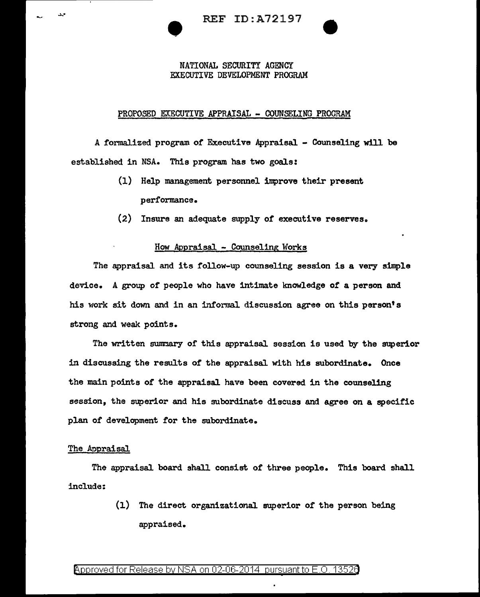NATIONAL SECURITY AGENCY

## EXECUTIVE DEVELOPMENT PROGRAM

### PROPOSED EXECUTIVE APPRAISAL - COUNSELING PROGRAM

A formalized program *of* Executive Appraisal - Counseling will be established in NSA. This program has two goals:

- (1) Help management personnel improve their present performance.
- (2) Insure an adequate supply or executive reserves.

## How Appraisal - Counseling Works

The appraisal and its follow-up counseling session is a very simple device. A group of people who have intimate lmowledge of a person and his work sit down and in an informal discussion agree on this person's strong and weak points.

The written summary of this appraisal session is used by the superior in discussing the results of the appraisal with his subordinate. Once the main points of the appraisal have been covered in the counseling session, the superior and his subordinate discuss and agree on a specific plan of development for the subordinate.

#### The Appraisal.

وري

The appraisal board shall consist of three people. This board shall include:

> (1) The direct organizational. superior of the person being appraised.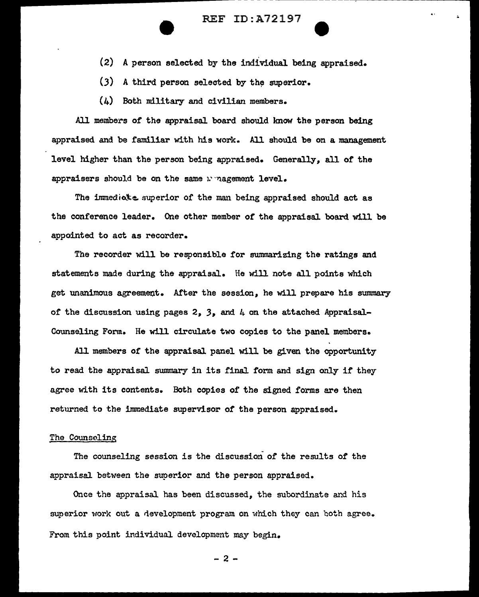# ---------------- - ---- REF ID:A72197

- (2) A person selected by the individual being appraised.
- $(3)$  A third person selected by the superior.
- $(4)$  Both military and civilian members.

All members of the appraisal board should lmow the person being appraised and be familiar with his work. All should be on a management level higher than the person being appraised. Generally, all of the appraisers should be on the same management level.

The immedicte superior of the man being appraised should act as the conference leader. One other member of the appraisal board will be appointed to act as recorder.

The recorder will be responsible for summarizing the ratings and statements made during the appraisal. He will note all points which get unanimous agreement. After the session, he will prepare his summary of the discussion using pages 2, 3, and  $\mu$  on the attached Appraisal-Counseling Form. He will circulate two copies to the panel members.

All members of the appraisal panel will be given the opportunity to read the appraisal summary in its final form and sign only if they agree with its contents. Both copies of the signed forms are then returned to the immediate supervisor *of* the person appraised.

## The Counseling

The counseling session is the discussion of the results of the appraisal between the superior and the person appraised.

Once the appraisal has been discussed, the subordinate and his superior work out a development program on which they can both agree. From this point individual development may begin.

- 2 -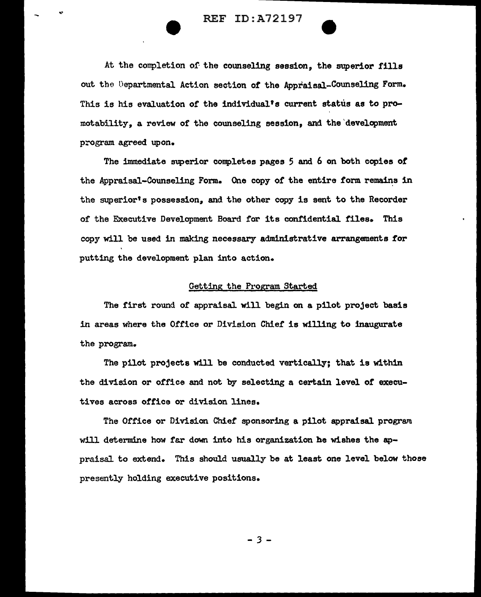REF ID:A72197

At the completion of the counseling session, the superior fills out the Departmental Action section of the Appraisal-Counseling Form. This is his evaluation of the individual's current status as to promotability, a review of the counseling session, and the 'development program agreed upon.

The immediate superior conpletes pages *5* and 6 on both copies of the Appraisal-Counseling Form. One copy of the entire form remains in the superior's possession, and the other copy is sent to the Recorder of the Executive Development Board far its confidential. files. This copy will be used in making necessary administrative arrangements t'or putting the development plan into action.

## Getting the Program Started

The first round of appraisal will begin on a pilot project basis in areas where the Office or Division Chief is willing to inaugurate the program.

The pilot projects will be conducted vertically; that is within the division or office and not by selecting a certain level of executives across office or division lines.

The Office or Division Chief sponsoring a pilot appraisal program will determine how far down into his organization he wishes the appraisal to extend. This should usually be at least one level below those presently holding executive positions.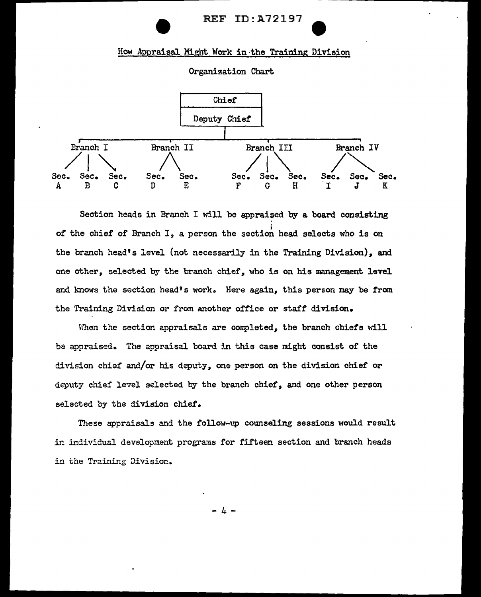

# How Appraisal Might Work in the Training Division

Organization Chart



Section heads in Branch I will be appraised by a board consisting ; of the chief of Branch *I,* a person the section head selects who is on the branch head's level (not necessarily in the Training Division), and one other, selected by the branch chief, who is on his management level and knows the section head's work. Here again, this person may be from the Training Division or from another office or staff division.

When the section appraisals are completed, the branch chiefs will be appraised. The appraisal board in this case might consist of the division chief and/or his deputy, one person on the division chief or deputy chief level selected by the branch chief, and one other person selected by the division chief.

These appraisals and the follow-up counseling sessions would result in individual development programs for fifteen section and branch heads in the Training Division.

4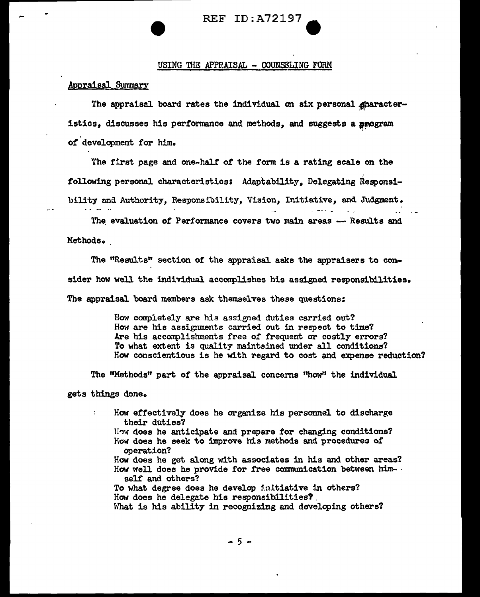# $REF ID: A72197$

## USING THE APPRAISAL - COUNSELING FORM

# Appraisal Summary

The appraisal board rates the individual on six personal gharacteristics, discusses his performance and methods, and suggests a program *:•*  of development for him.

The first page and one-half of the form is a rating scale on the following personal characteristics: Adaptability, Delegating Responsibility and Authority, Responsibility, Vision, Initiative, and Judgment.

The evaluation of Performance covers two main areas -- Results and Methods.

The "Results" section of the appraisal asks the appraisers to consider how well the individual acconpJishes his assigned responsibilities. The appraisal board members ask themselves these questions:

> How completely are his assigned duties carried out? How are his assignments carried out in respect to time? Are his accomplishments free of frequent or costly errors? To what extent is quality maintained under all conditions? How conscientious is he with regard to cost and expense reduction?

 $\mathbb{Z}^2$ 

The "Methods" part of the appraisal concerns "how" the individual gets things done.

How effectively does he organize his personnel to discharge their duties? ll'IW does he anticipate and prepare tor changing conditions? How does he seek to improve his methods and procedures of operation? How does he get along with associates in his and other areas? How well does he provide for free communication between himself and others? To what degree does he develop initiative in others? How does he delegate his responsibilities? . What is his ability in recognizing and developing others?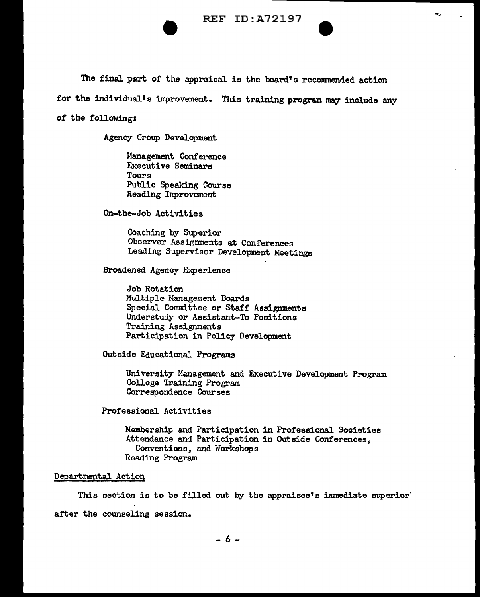

The final part of the appraisal is the board's recommended action

for the individual's improvement. This training program may include any

#### of the following:

Agency Croup Development

Management Conference Executive Seminars Tours Public Speaking Course Reading Inprovement

On-the-Job Activities

Coaching by Superior Observer Assignments at Conferences Leading Supervisor Development Meetings

Broadened Agency Experience

Job Rotation Multiple Management Boards Special Conmdttee or Staff Assignments Understudy or Assistant-To Positions Training Assignments Participation in Policy Development

Outside Educational Programs

University Management and Executive Development Program College Training Program Correspondence Courses

Professional Activities

Membership and Participation in Professional. Societies Attendance and Participation in Outside Conferences, Conventions, and Workshops Reading Program

## Departmental Action

This section is to be filled out by the appraisee's inmediate superior after the counseling session.